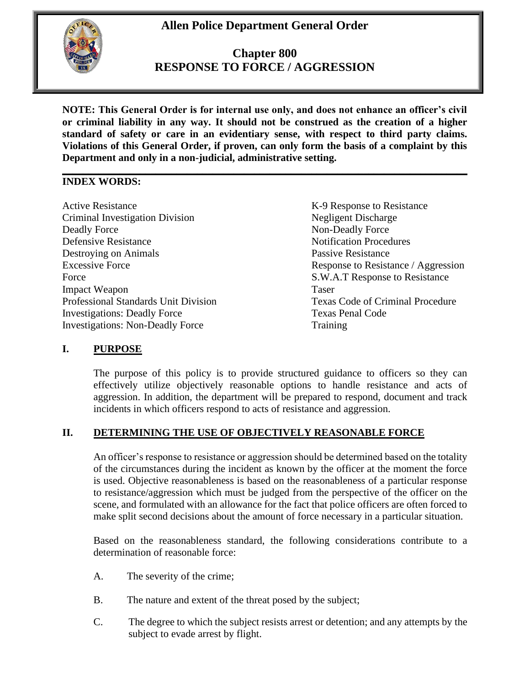# **Allen Police Department General Order**



# **Chapter 800 RESPONSE TO FORCE / AGGRESSION**

**NOTE: This General Order is for internal use only, and does not enhance an officer's civil or criminal liability in any way. It should not be construed as the creation of a higher standard of safety or care in an evidentiary sense, with respect to third party claims. Violations of this General Order, if proven, can only form the basis of a complaint by this Department and only in a non-judicial, administrative setting.**

#### **\_\_\_\_\_\_\_\_\_\_\_\_\_\_\_\_\_\_\_\_\_\_\_\_\_\_\_\_\_\_\_\_\_\_\_\_\_\_\_\_\_\_\_\_\_\_\_\_\_\_\_\_\_\_\_\_\_\_\_\_\_\_\_\_\_\_\_\_\_\_\_\_\_\_\_\_\_\_ INDEX WORDS:**

Active Resistance The Contract Resistance Resistance Resistance Resistance Criminal Investigation Division Negligent Discharge Deadly Force Non-Deadly Force Defensive Resistance Notification Procedures Destroying on Animals<br>
Excessive Force<br>
Response to Resistance<br>
Response to Resistance<br>
Response to Resistance<br>
Response to Resistance<br>
Response to Resistance<br>
Response to Resistance<br>
Response to Resistance<br>
Response to Re Force S.W.A.T Response to Resistance Impact Weapon Taser Professional Standards Unit Division Texas Code of Criminal Procedure Investigations: Deadly Force Texas Penal Code Investigations: Non-Deadly Force Training

Response to Resistance / Aggression

# **I. PURPOSE**

The purpose of this policy is to provide structured guidance to officers so they can effectively utilize objectively reasonable options to handle resistance and acts of aggression. In addition, the department will be prepared to respond, document and track incidents in which officers respond to acts of resistance and aggression.

# **II. DETERMINING THE USE OF OBJECTIVELY REASONABLE FORCE**

An officer's response to resistance or aggression should be determined based on the totality of the circumstances during the incident as known by the officer at the moment the force is used. Objective reasonableness is based on the reasonableness of a particular response to resistance/aggression which must be judged from the perspective of the officer on the scene, and formulated with an allowance for the fact that police officers are often forced to make split second decisions about the amount of force necessary in a particular situation.

Based on the reasonableness standard, the following considerations contribute to a determination of reasonable force:

- A. The severity of the crime;
- B. The nature and extent of the threat posed by the subject;
- C. The degree to which the subject resists arrest or detention; and any attempts by the subject to evade arrest by flight.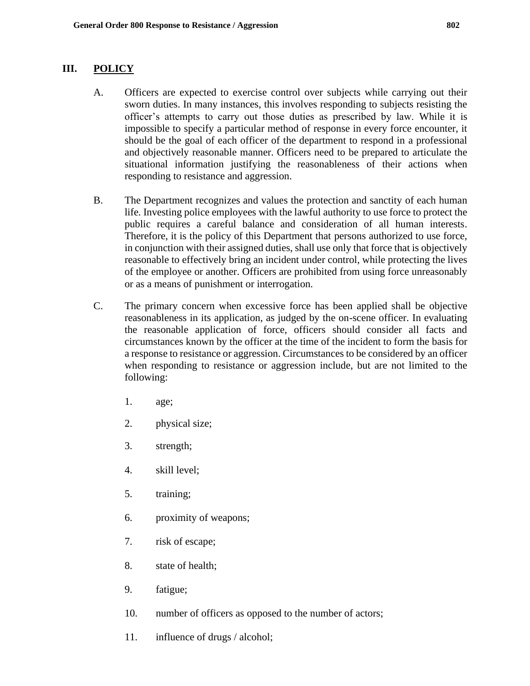### **III. POLICY**

- A. Officers are expected to exercise control over subjects while carrying out their sworn duties. In many instances, this involves responding to subjects resisting the officer's attempts to carry out those duties as prescribed by law. While it is impossible to specify a particular method of response in every force encounter, it should be the goal of each officer of the department to respond in a professional and objectively reasonable manner. Officers need to be prepared to articulate the situational information justifying the reasonableness of their actions when responding to resistance and aggression.
- B. The Department recognizes and values the protection and sanctity of each human life. Investing police employees with the lawful authority to use force to protect the public requires a careful balance and consideration of all human interests. Therefore, it is the policy of this Department that persons authorized to use force, in conjunction with their assigned duties, shall use only that force that is objectively reasonable to effectively bring an incident under control, while protecting the lives of the employee or another. Officers are prohibited from using force unreasonably or as a means of punishment or interrogation.
- C. The primary concern when excessive force has been applied shall be objective reasonableness in its application, as judged by the on-scene officer. In evaluating the reasonable application of force, officers should consider all facts and circumstances known by the officer at the time of the incident to form the basis for a response to resistance or aggression. Circumstances to be considered by an officer when responding to resistance or aggression include, but are not limited to the following:
	- 1. age;
	- 2. physical size;
	- 3. strength;
	- 4. skill level;
	- 5. training;
	- 6. proximity of weapons;
	- 7. risk of escape;
	- 8. state of health;
	- 9. fatigue;
	- 10. number of officers as opposed to the number of actors;
	- 11. influence of drugs / alcohol;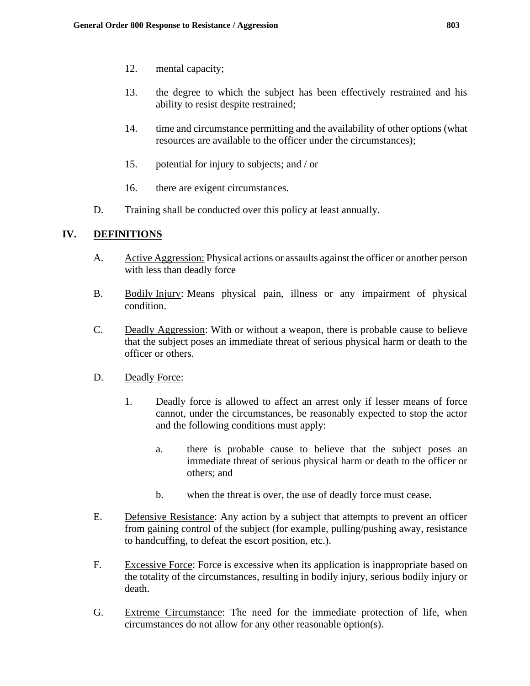- 12. mental capacity;
- 13. the degree to which the subject has been effectively restrained and his ability to resist despite restrained;
- 14. time and circumstance permitting and the availability of other options (what resources are available to the officer under the circumstances);
- 15. potential for injury to subjects; and / or
- 16. there are exigent circumstances.
- D. Training shall be conducted over this policy at least annually.

### **IV. DEFINITIONS**

- A. Active Aggression: Physical actions or assaults against the officer or another person with less than deadly force
- B. Bodily Injury: Means physical pain, illness or any impairment of physical condition.
- C. Deadly Aggression: With or without a weapon, there is probable cause to believe that the subject poses an immediate threat of serious physical harm or death to the officer or others.
- D. Deadly Force:
	- 1. Deadly force is allowed to affect an arrest only if lesser means of force cannot, under the circumstances, be reasonably expected to stop the actor and the following conditions must apply:
		- a. there is probable cause to believe that the subject poses an immediate threat of serious physical harm or death to the officer or others; and
		- b. when the threat is over, the use of deadly force must cease.
- E. Defensive Resistance: Any action by a subject that attempts to prevent an officer from gaining control of the subject (for example, pulling/pushing away, resistance to handcuffing, to defeat the escort position, etc.).
- F. Excessive Force: Force is excessive when its application is inappropriate based on the totality of the circumstances, resulting in bodily injury, serious bodily injury or death.
- G. Extreme Circumstance: The need for the immediate protection of life, when circumstances do not allow for any other reasonable option(s).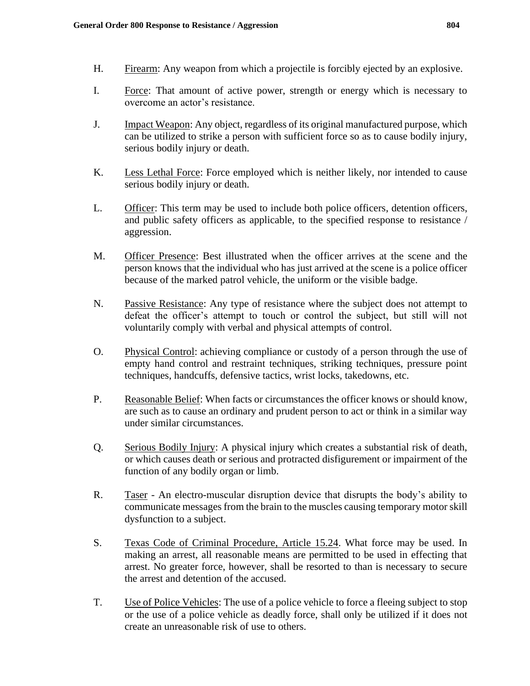- H. Firearm: Any weapon from which a projectile is forcibly ejected by an explosive.
- I. Force: That amount of active power, strength or energy which is necessary to overcome an actor's resistance.
- J. Impact Weapon: Any object, regardless of its original manufactured purpose, which can be utilized to strike a person with sufficient force so as to cause bodily injury, serious bodily injury or death.
- K. Less Lethal Force: Force employed which is neither likely, nor intended to cause serious bodily injury or death.
- L. Officer: This term may be used to include both police officers, detention officers, and public safety officers as applicable, to the specified response to resistance / aggression.
- M. Officer Presence: Best illustrated when the officer arrives at the scene and the person knows that the individual who has just arrived at the scene is a police officer because of the marked patrol vehicle, the uniform or the visible badge.
- N. Passive Resistance: Any type of resistance where the subject does not attempt to defeat the officer's attempt to touch or control the subject, but still will not voluntarily comply with verbal and physical attempts of control.
- O. Physical Control: achieving compliance or custody of a person through the use of empty hand control and restraint techniques, striking techniques, pressure point techniques, handcuffs, defensive tactics, wrist locks, takedowns, etc.
- P. Reasonable Belief: When facts or circumstances the officer knows or should know, are such as to cause an ordinary and prudent person to act or think in a similar way under similar circumstances.
- Q. Serious Bodily Injury: A physical injury which creates a substantial risk of death, or which causes death or serious and protracted disfigurement or impairment of the function of any bodily organ or limb.
- R. Taser An electro-muscular disruption device that disrupts the body's ability to communicate messages from the brain to the muscles causing temporary motor skill dysfunction to a subject.
- S. Texas Code of Criminal Procedure, Article 15.24. What force may be used. In making an arrest, all reasonable means are permitted to be used in effecting that arrest. No greater force, however, shall be resorted to than is necessary to secure the arrest and detention of the accused.
- T. Use of Police Vehicles: The use of a police vehicle to force a fleeing subject to stop or the use of a police vehicle as deadly force, shall only be utilized if it does not create an unreasonable risk of use to others.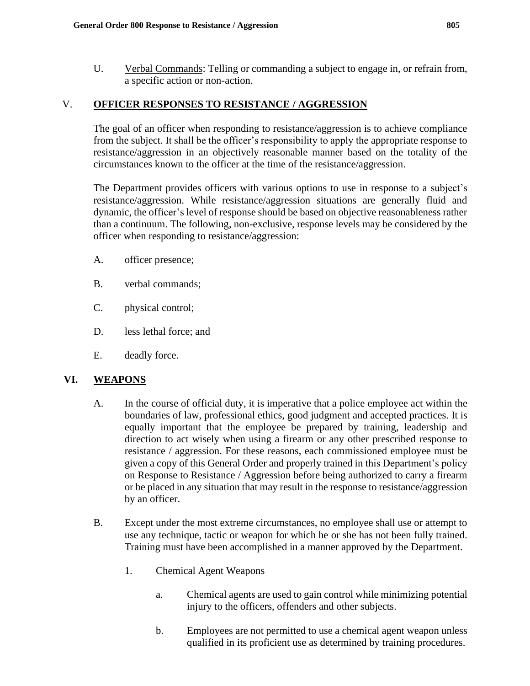U. Verbal Commands: Telling or commanding a subject to engage in, or refrain from, a specific action or non-action.

# V. **OFFICER RESPONSES TO RESISTANCE / AGGRESSION**

The goal of an officer when responding to resistance/aggression is to achieve compliance from the subject. It shall be the officer's responsibility to apply the appropriate response to resistance/aggression in an objectively reasonable manner based on the totality of the circumstances known to the officer at the time of the resistance/aggression.

The Department provides officers with various options to use in response to a subject's resistance/aggression. While resistance/aggression situations are generally fluid and dynamic, the officer's level of response should be based on objective reasonableness rather than a continuum. The following, non-exclusive, response levels may be considered by the officer when responding to resistance/aggression:

- A. officer presence;
- B. verbal commands;
- C. physical control;
- D. less lethal force; and
- E. deadly force.

# **VI. WEAPONS**

- A. In the course of official duty, it is imperative that a police employee act within the boundaries of law, professional ethics, good judgment and accepted practices. It is equally important that the employee be prepared by training, leadership and direction to act wisely when using a firearm or any other prescribed response to resistance / aggression. For these reasons, each commissioned employee must be given a copy of this General Order and properly trained in this Department's policy on Response to Resistance / Aggression before being authorized to carry a firearm or be placed in any situation that may result in the response to resistance/aggression by an officer.
- B. Except under the most extreme circumstances, no employee shall use or attempt to use any technique, tactic or weapon for which he or she has not been fully trained. Training must have been accomplished in a manner approved by the Department.
	- 1. Chemical Agent Weapons
		- a. Chemical agents are used to gain control while minimizing potential injury to the officers, offenders and other subjects.
		- b. Employees are not permitted to use a chemical agent weapon unless qualified in its proficient use as determined by training procedures.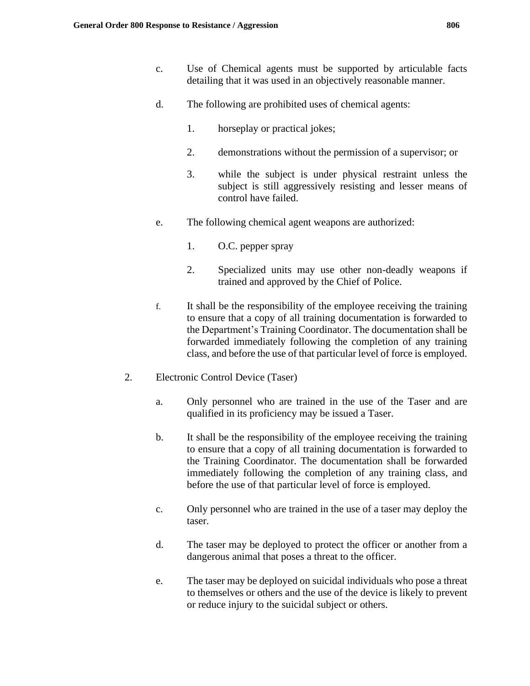- c. Use of Chemical agents must be supported by articulable facts detailing that it was used in an objectively reasonable manner.
- d. The following are prohibited uses of chemical agents:
	- 1. horseplay or practical jokes;
	- 2. demonstrations without the permission of a supervisor; or
	- 3. while the subject is under physical restraint unless the subject is still aggressively resisting and lesser means of control have failed.
- e. The following chemical agent weapons are authorized:
	- 1. O.C. pepper spray
	- 2. Specialized units may use other non-deadly weapons if trained and approved by the Chief of Police.
- f. It shall be the responsibility of the employee receiving the training to ensure that a copy of all training documentation is forwarded to the Department's Training Coordinator. The documentation shall be forwarded immediately following the completion of any training class, and before the use of that particular level of force is employed.
- 2. Electronic Control Device (Taser)
	- a. Only personnel who are trained in the use of the Taser and are qualified in its proficiency may be issued a Taser.
	- b. It shall be the responsibility of the employee receiving the training to ensure that a copy of all training documentation is forwarded to the Training Coordinator. The documentation shall be forwarded immediately following the completion of any training class, and before the use of that particular level of force is employed.
	- c. Only personnel who are trained in the use of a taser may deploy the taser.
	- d. The taser may be deployed to protect the officer or another from a dangerous animal that poses a threat to the officer.
	- e. The taser may be deployed on suicidal individuals who pose a threat to themselves or others and the use of the device is likely to prevent or reduce injury to the suicidal subject or others.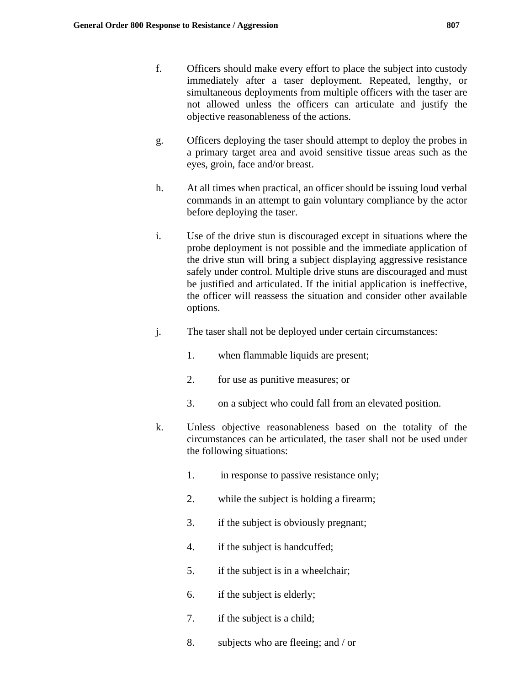- f. Officers should make every effort to place the subject into custody immediately after a taser deployment. Repeated, lengthy, or simultaneous deployments from multiple officers with the taser are not allowed unless the officers can articulate and justify the objective reasonableness of the actions.
- g. Officers deploying the taser should attempt to deploy the probes in a primary target area and avoid sensitive tissue areas such as the eyes, groin, face and/or breast.
- h. At all times when practical, an officer should be issuing loud verbal commands in an attempt to gain voluntary compliance by the actor before deploying the taser.
- i. Use of the drive stun is discouraged except in situations where the probe deployment is not possible and the immediate application of the drive stun will bring a subject displaying aggressive resistance safely under control. Multiple drive stuns are discouraged and must be justified and articulated. If the initial application is ineffective, the officer will reassess the situation and consider other available options.
- j. The taser shall not be deployed under certain circumstances:
	- 1. when flammable liquids are present;
	- 2. for use as punitive measures; or
	- 3. on a subject who could fall from an elevated position.
- k. Unless objective reasonableness based on the totality of the circumstances can be articulated, the taser shall not be used under the following situations:
	- 1. in response to passive resistance only;
	- 2. while the subject is holding a firearm;
	- 3. if the subject is obviously pregnant;
	- 4. if the subject is handcuffed;
	- 5. if the subject is in a wheelchair;
	- 6. if the subject is elderly;
	- 7. if the subject is a child;
	- 8. subjects who are fleeing; and / or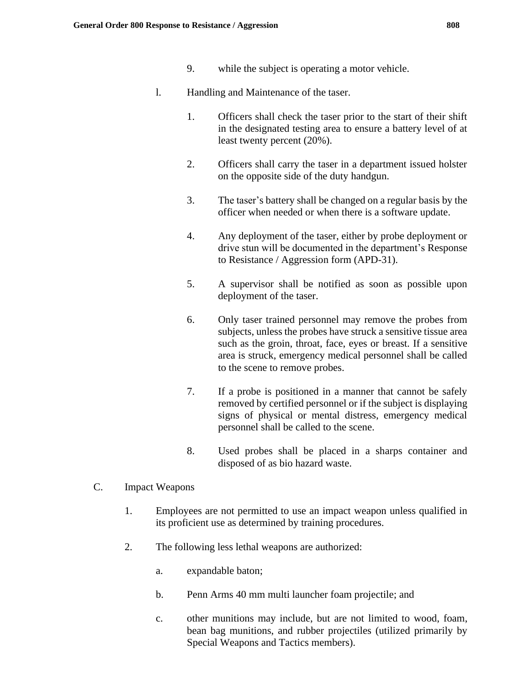- 9. while the subject is operating a motor vehicle.
- l. Handling and Maintenance of the taser.
	- 1. Officers shall check the taser prior to the start of their shift in the designated testing area to ensure a battery level of at least twenty percent (20%).
	- 2. Officers shall carry the taser in a department issued holster on the opposite side of the duty handgun.
	- 3. The taser's battery shall be changed on a regular basis by the officer when needed or when there is a software update.
	- 4. Any deployment of the taser, either by probe deployment or drive stun will be documented in the department's Response to Resistance / Aggression form (APD-31).
	- 5. A supervisor shall be notified as soon as possible upon deployment of the taser.
	- 6. Only taser trained personnel may remove the probes from subjects, unless the probes have struck a sensitive tissue area such as the groin, throat, face, eyes or breast. If a sensitive area is struck, emergency medical personnel shall be called to the scene to remove probes.
	- 7. If a probe is positioned in a manner that cannot be safely removed by certified personnel or if the subject is displaying signs of physical or mental distress, emergency medical personnel shall be called to the scene.
	- 8. Used probes shall be placed in a sharps container and disposed of as bio hazard waste.
- C. Impact Weapons
	- 1. Employees are not permitted to use an impact weapon unless qualified in its proficient use as determined by training procedures.
	- 2. The following less lethal weapons are authorized:
		- a. expandable baton;
		- b. Penn Arms 40 mm multi launcher foam projectile; and
		- c. other munitions may include, but are not limited to wood, foam, bean bag munitions, and rubber projectiles (utilized primarily by Special Weapons and Tactics members).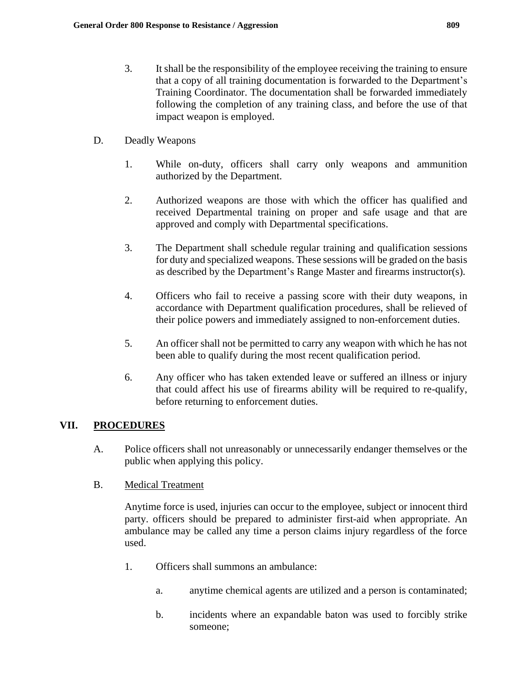- 3. It shall be the responsibility of the employee receiving the training to ensure that a copy of all training documentation is forwarded to the Department's Training Coordinator. The documentation shall be forwarded immediately following the completion of any training class, and before the use of that impact weapon is employed.
- D. Deadly Weapons
	- 1. While on-duty, officers shall carry only weapons and ammunition authorized by the Department.
	- 2. Authorized weapons are those with which the officer has qualified and received Departmental training on proper and safe usage and that are approved and comply with Departmental specifications.
	- 3. The Department shall schedule regular training and qualification sessions for duty and specialized weapons. These sessions will be graded on the basis as described by the Department's Range Master and firearms instructor(s).
	- 4. Officers who fail to receive a passing score with their duty weapons, in accordance with Department qualification procedures, shall be relieved of their police powers and immediately assigned to non-enforcement duties.
	- 5. An officer shall not be permitted to carry any weapon with which he has not been able to qualify during the most recent qualification period.
	- 6. Any officer who has taken extended leave or suffered an illness or injury that could affect his use of firearms ability will be required to re-qualify, before returning to enforcement duties.

# **VII. PROCEDURES**

- A. Police officers shall not unreasonably or unnecessarily endanger themselves or the public when applying this policy.
- B. Medical Treatment

Anytime force is used, injuries can occur to the employee, subject or innocent third party. officers should be prepared to administer first-aid when appropriate. An ambulance may be called any time a person claims injury regardless of the force used.

- 1. Officers shall summons an ambulance:
	- a. anytime chemical agents are utilized and a person is contaminated;
	- b. incidents where an expandable baton was used to forcibly strike someone;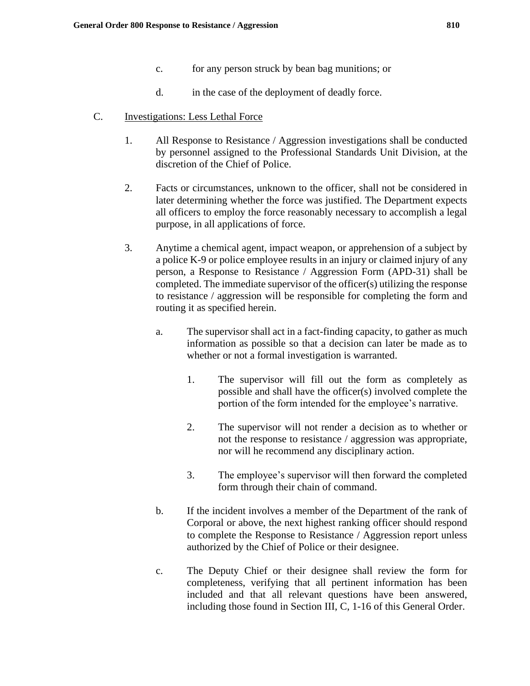- c. for any person struck by bean bag munitions; or
- d. in the case of the deployment of deadly force.
- C. Investigations: Less Lethal Force
	- 1. All Response to Resistance / Aggression investigations shall be conducted by personnel assigned to the Professional Standards Unit Division, at the discretion of the Chief of Police.
	- 2. Facts or circumstances, unknown to the officer, shall not be considered in later determining whether the force was justified. The Department expects all officers to employ the force reasonably necessary to accomplish a legal purpose, in all applications of force.
	- 3. Anytime a chemical agent, impact weapon, or apprehension of a subject by a police K-9 or police employee results in an injury or claimed injury of any person, a Response to Resistance / Aggression Form (APD-31) shall be completed. The immediate supervisor of the officer(s) utilizing the response to resistance / aggression will be responsible for completing the form and routing it as specified herein.
		- a. The supervisor shall act in a fact-finding capacity, to gather as much information as possible so that a decision can later be made as to whether or not a formal investigation is warranted.
			- 1. The supervisor will fill out the form as completely as possible and shall have the officer(s) involved complete the portion of the form intended for the employee's narrative.
			- 2. The supervisor will not render a decision as to whether or not the response to resistance / aggression was appropriate, nor will he recommend any disciplinary action.
			- 3. The employee's supervisor will then forward the completed form through their chain of command.
		- b. If the incident involves a member of the Department of the rank of Corporal or above, the next highest ranking officer should respond to complete the Response to Resistance / Aggression report unless authorized by the Chief of Police or their designee.
		- c. The Deputy Chief or their designee shall review the form for completeness, verifying that all pertinent information has been included and that all relevant questions have been answered, including those found in Section III, C, 1-16 of this General Order.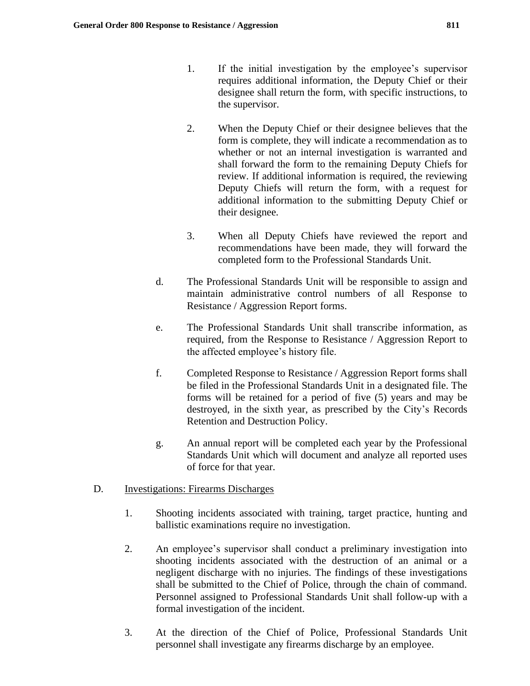- 1. If the initial investigation by the employee's supervisor requires additional information, the Deputy Chief or their designee shall return the form, with specific instructions, to the supervisor.
- 2. When the Deputy Chief or their designee believes that the form is complete, they will indicate a recommendation as to whether or not an internal investigation is warranted and shall forward the form to the remaining Deputy Chiefs for review. If additional information is required, the reviewing Deputy Chiefs will return the form, with a request for additional information to the submitting Deputy Chief or their designee.
- 3. When all Deputy Chiefs have reviewed the report and recommendations have been made, they will forward the completed form to the Professional Standards Unit.
- d. The Professional Standards Unit will be responsible to assign and maintain administrative control numbers of all Response to Resistance / Aggression Report forms.
- e. The Professional Standards Unit shall transcribe information, as required, from the Response to Resistance / Aggression Report to the affected employee's history file.
- f. Completed Response to Resistance / Aggression Report forms shall be filed in the Professional Standards Unit in a designated file. The forms will be retained for a period of five (5) years and may be destroyed, in the sixth year, as prescribed by the City's Records Retention and Destruction Policy.
- g. An annual report will be completed each year by the Professional Standards Unit which will document and analyze all reported uses of force for that year.

# D. Investigations: Firearms Discharges

- 1. Shooting incidents associated with training, target practice, hunting and ballistic examinations require no investigation.
- 2. An employee's supervisor shall conduct a preliminary investigation into shooting incidents associated with the destruction of an animal or a negligent discharge with no injuries. The findings of these investigations shall be submitted to the Chief of Police, through the chain of command. Personnel assigned to Professional Standards Unit shall follow-up with a formal investigation of the incident.
- 3. At the direction of the Chief of Police, Professional Standards Unit personnel shall investigate any firearms discharge by an employee.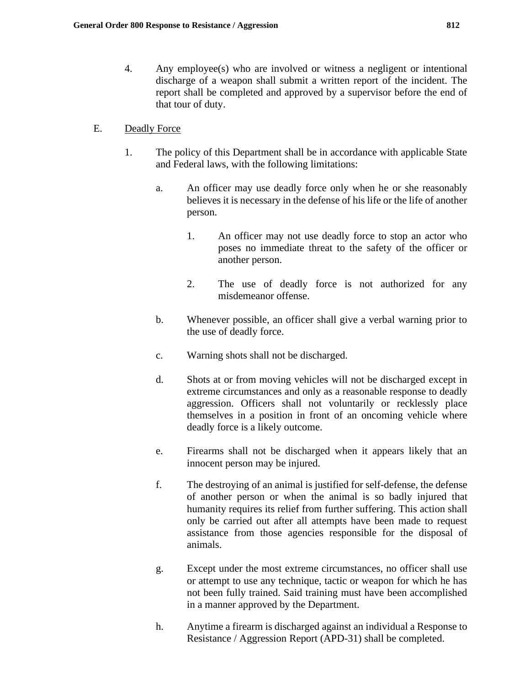4. Any employee(s) who are involved or witness a negligent or intentional discharge of a weapon shall submit a written report of the incident. The report shall be completed and approved by a supervisor before the end of that tour of duty.

### E. Deadly Force

- 1. The policy of this Department shall be in accordance with applicable State and Federal laws, with the following limitations:
	- a. An officer may use deadly force only when he or she reasonably believes it is necessary in the defense of his life or the life of another person.
		- 1. An officer may not use deadly force to stop an actor who poses no immediate threat to the safety of the officer or another person.
		- 2. The use of deadly force is not authorized for any misdemeanor offense.
	- b. Whenever possible, an officer shall give a verbal warning prior to the use of deadly force.
	- c. Warning shots shall not be discharged.
	- d. Shots at or from moving vehicles will not be discharged except in extreme circumstances and only as a reasonable response to deadly aggression. Officers shall not voluntarily or recklessly place themselves in a position in front of an oncoming vehicle where deadly force is a likely outcome.
	- e. Firearms shall not be discharged when it appears likely that an innocent person may be injured.
	- f. The destroying of an animal is justified for self-defense, the defense of another person or when the animal is so badly injured that humanity requires its relief from further suffering. This action shall only be carried out after all attempts have been made to request assistance from those agencies responsible for the disposal of animals.
	- g. Except under the most extreme circumstances, no officer shall use or attempt to use any technique, tactic or weapon for which he has not been fully trained. Said training must have been accomplished in a manner approved by the Department.
	- h. Anytime a firearm is discharged against an individual a Response to Resistance / Aggression Report (APD-31) shall be completed.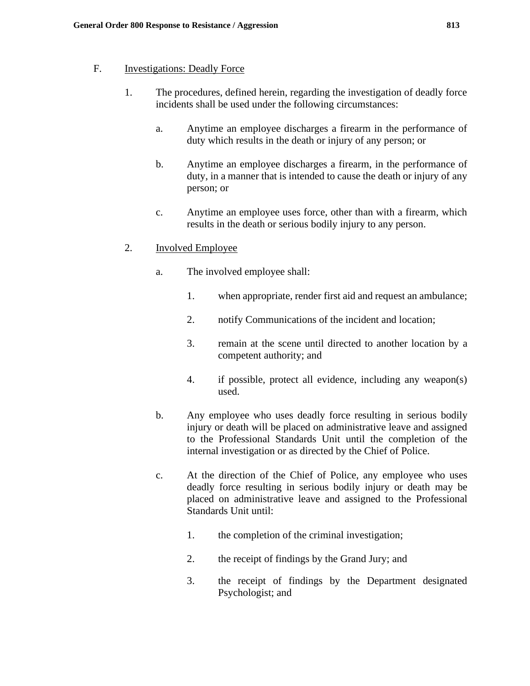### F. Investigations: Deadly Force

- 1. The procedures, defined herein, regarding the investigation of deadly force incidents shall be used under the following circumstances:
	- a. Anytime an employee discharges a firearm in the performance of duty which results in the death or injury of any person; or
	- b. Anytime an employee discharges a firearm, in the performance of duty, in a manner that is intended to cause the death or injury of any person; or
	- c. Anytime an employee uses force, other than with a firearm, which results in the death or serious bodily injury to any person.

# 2. Involved Employee

- a. The involved employee shall:
	- 1. when appropriate, render first aid and request an ambulance;
	- 2. notify Communications of the incident and location;
	- 3. remain at the scene until directed to another location by a competent authority; and
	- 4. if possible, protect all evidence, including any weapon(s) used.
- b. Any employee who uses deadly force resulting in serious bodily injury or death will be placed on administrative leave and assigned to the Professional Standards Unit until the completion of the internal investigation or as directed by the Chief of Police.
- c. At the direction of the Chief of Police, any employee who uses deadly force resulting in serious bodily injury or death may be placed on administrative leave and assigned to the Professional Standards Unit until:
	- 1. the completion of the criminal investigation;
	- 2. the receipt of findings by the Grand Jury; and
	- 3. the receipt of findings by the Department designated Psychologist; and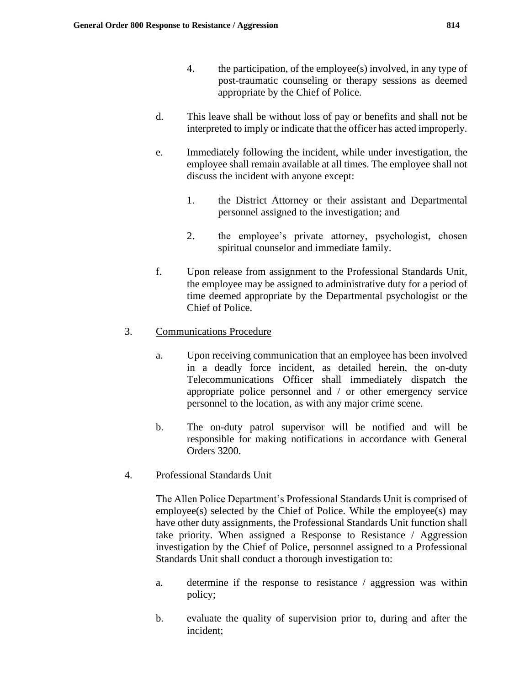- 4. the participation, of the employee(s) involved, in any type of post-traumatic counseling or therapy sessions as deemed appropriate by the Chief of Police.
- d. This leave shall be without loss of pay or benefits and shall not be interpreted to imply or indicate that the officer has acted improperly.
- e. Immediately following the incident, while under investigation, the employee shall remain available at all times. The employee shall not discuss the incident with anyone except:
	- 1. the District Attorney or their assistant and Departmental personnel assigned to the investigation; and
	- 2. the employee's private attorney, psychologist, chosen spiritual counselor and immediate family.
- f. Upon release from assignment to the Professional Standards Unit, the employee may be assigned to administrative duty for a period of time deemed appropriate by the Departmental psychologist or the Chief of Police.

# 3. Communications Procedure

- a. Upon receiving communication that an employee has been involved in a deadly force incident, as detailed herein, the on-duty Telecommunications Officer shall immediately dispatch the appropriate police personnel and / or other emergency service personnel to the location, as with any major crime scene.
- b. The on-duty patrol supervisor will be notified and will be responsible for making notifications in accordance with General Orders 3200.

# 4. Professional Standards Unit

The Allen Police Department's Professional Standards Unit is comprised of employee(s) selected by the Chief of Police. While the employee(s) may have other duty assignments, the Professional Standards Unit function shall take priority. When assigned a Response to Resistance / Aggression investigation by the Chief of Police, personnel assigned to a Professional Standards Unit shall conduct a thorough investigation to:

- a. determine if the response to resistance / aggression was within policy;
- b. evaluate the quality of supervision prior to, during and after the incident;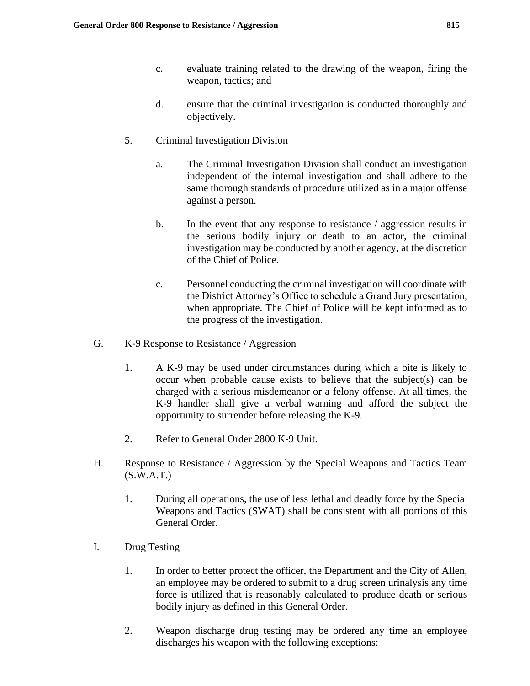- c. evaluate training related to the drawing of the weapon, firing the weapon, tactics; and
- d. ensure that the criminal investigation is conducted thoroughly and objectively.

# 5. Criminal Investigation Division

- a. The Criminal Investigation Division shall conduct an investigation independent of the internal investigation and shall adhere to the same thorough standards of procedure utilized as in a major offense against a person.
- b. In the event that any response to resistance / aggression results in the serious bodily injury or death to an actor, the criminal investigation may be conducted by another agency, at the discretion of the Chief of Police.
- c. Personnel conducting the criminal investigation will coordinate with the District Attorney's Office to schedule a Grand Jury presentation, when appropriate. The Chief of Police will be kept informed as to the progress of the investigation.

# G. K-9 Response to Resistance / Aggression

- 1. A K-9 may be used under circumstances during which a bite is likely to occur when probable cause exists to believe that the subject(s) can be charged with a serious misdemeanor or a felony offense. At all times, the K-9 handler shall give a verbal warning and afford the subject the opportunity to surrender before releasing the K-9.
- 2. Refer to General Order 2800 K-9 Unit.
- H. Response to Resistance / Aggression by the Special Weapons and Tactics Team  $(S.W.A.T.)$ 
	- 1. During all operations, the use of less lethal and deadly force by the Special Weapons and Tactics (SWAT) shall be consistent with all portions of this General Order.
- I. Drug Testing
	- 1. In order to better protect the officer, the Department and the City of Allen, an employee may be ordered to submit to a drug screen urinalysis any time force is utilized that is reasonably calculated to produce death or serious bodily injury as defined in this General Order.
	- 2. Weapon discharge drug testing may be ordered any time an employee discharges his weapon with the following exceptions: